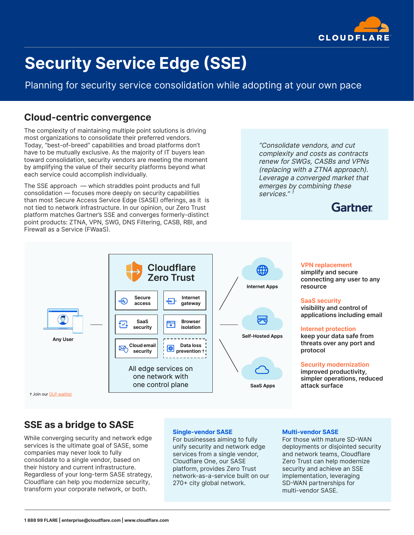

# **Security Service Edge (SSE)**

Planning for security service consolidation while adopting at your own pace

## **Cloud-centric convergence**

The complexity of maintaining multiple point solutions is driving most organizations to consolidate their preferred vendors. Today, "best-of-breed" capabilities and broad platforms don't have to be mutually exclusive. As the majority of IT buyers lean toward consolidation, security vendors are meeting the moment by amplifying the value of their security platforms beyond what each service could accomplish individually.

The SSE approach — which straddles point products and full consolidation — focuses more deeply on security capabilities than most Secure Access Service Edge (SASE) offerings, as it is not tied to network infrastructure. In our opinion, our Zero Trust platform matches Gartner's SSE and converges formerly-distinct point products: ZTNA, VPN, SWG, DNS Filtering, CASB, RBI, and Firewall as a Service (FWaaS).

"Consolidate vendors, and cut complexity and costs as contracts renew for SWGs, CASBs and VPNs (replacing with a ZTNA approach). Leverage a converged market that emerges by combining these services." 1

# **Gartner**



#### **VPN replacement**

**simplify and secure connecting any user to any resource**

#### **SaaS security**

**visibility and control of applications including email**

#### **Internet protection**

**keep your data safe from threats over any port and protocol** 

#### **Security modernization**

**improved productivity, simpler operations, reduced attack surface**

# **SSE as a bridge to SASE**

While converging security and network edge services is the ultimate goal of SASE, some companies may never look to fully consolidate to a single vendor, based on their history and current infrastructure. Regardless of your long-term SASE strategy, Cloudflare can help you modernize security, transform your corporate network, or both.

#### **Single-vendor SASE**

For businesses aiming to fully unify security and network edge services from a single vendor, Cloudflare One, our SASE platform, provides Zero Trust network-as-a-service built on our 270+ city global network.

#### **Multi-vendor SASE**

For those with mature SD-WAN deployments or disjointed security and network teams, Cloudflare Zero Trust can help modernize security and achieve an SSE implementation, leveraging SD-WAN partnerships for multi-vendor SASE.